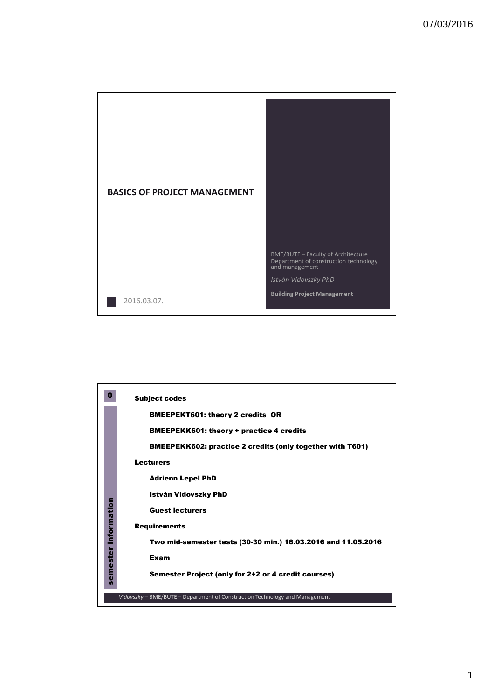

|             | <b>Subject codes</b>                                                        |  |  |  |  |  |  |  |
|-------------|-----------------------------------------------------------------------------|--|--|--|--|--|--|--|
|             | <b>BMEEPEKT601: theory 2 credits OR</b>                                     |  |  |  |  |  |  |  |
|             | <b>BMEEPEKK601: theory + practice 4 credits</b>                             |  |  |  |  |  |  |  |
|             | <b>BMEEPEKK602: practice 2 credits (only together with T601)</b>            |  |  |  |  |  |  |  |
|             | <b>Lecturers</b>                                                            |  |  |  |  |  |  |  |
|             | <b>Adrienn Lepel PhD</b>                                                    |  |  |  |  |  |  |  |
|             | István Vidovszky PhD                                                        |  |  |  |  |  |  |  |
| information | <b>Guest lecturers</b>                                                      |  |  |  |  |  |  |  |
|             | <b>Requirements</b>                                                         |  |  |  |  |  |  |  |
|             | Two mid-semester tests (30-30 min.) 16.03.2016 and 11.05.2016               |  |  |  |  |  |  |  |
| semester    | Exam                                                                        |  |  |  |  |  |  |  |
|             | Semester Project (only for 2+2 or 4 credit courses)                         |  |  |  |  |  |  |  |
|             | Vidovszky – BME/BUTE – Department of Construction Technology and Management |  |  |  |  |  |  |  |
|             |                                                                             |  |  |  |  |  |  |  |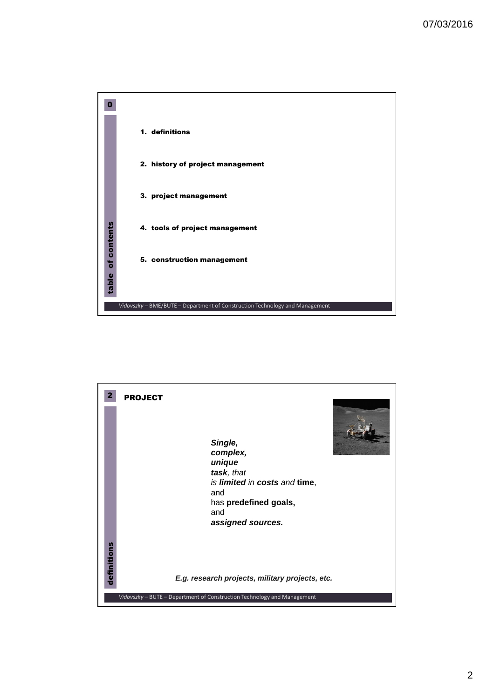

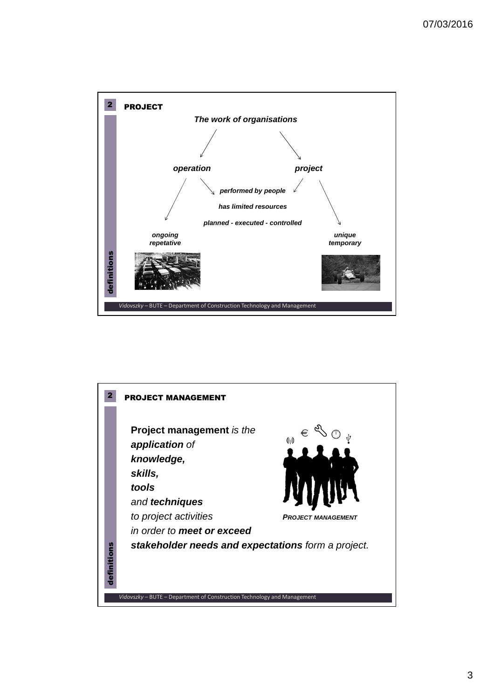

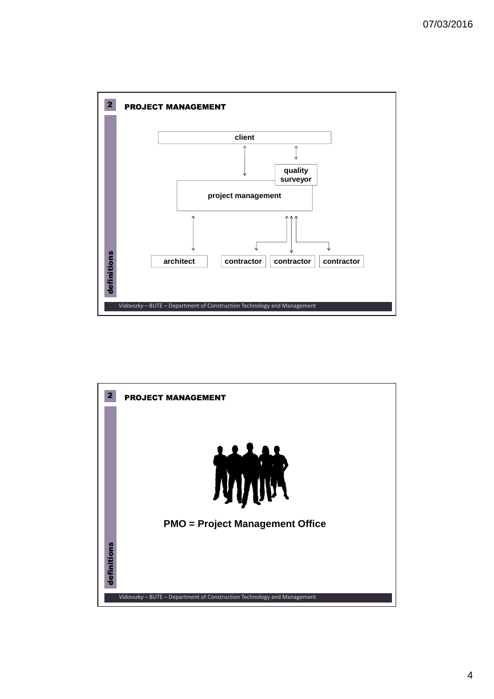

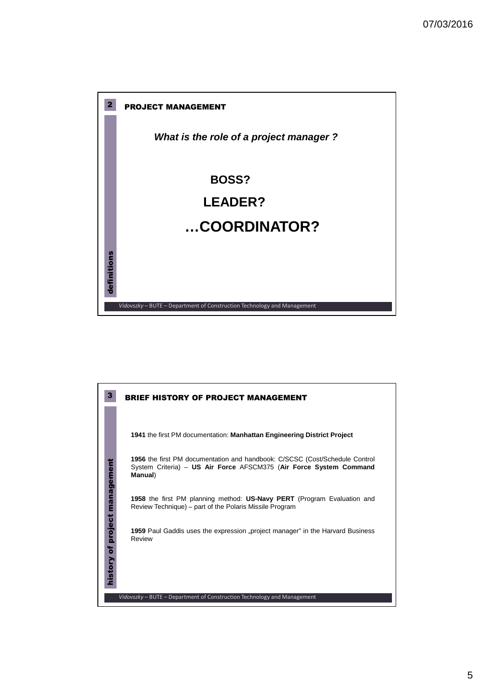

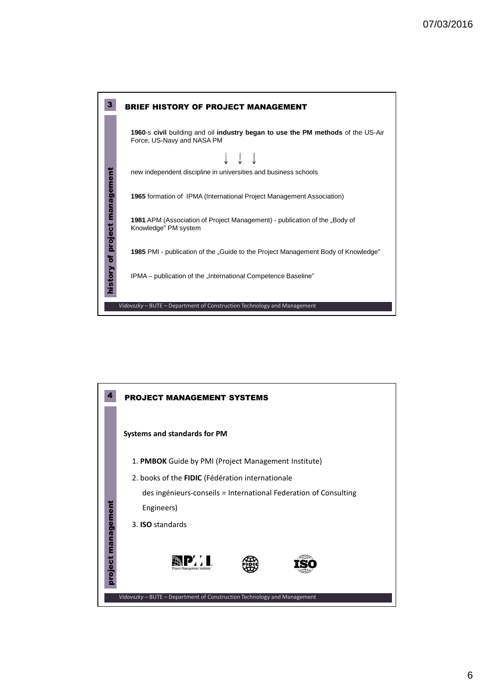

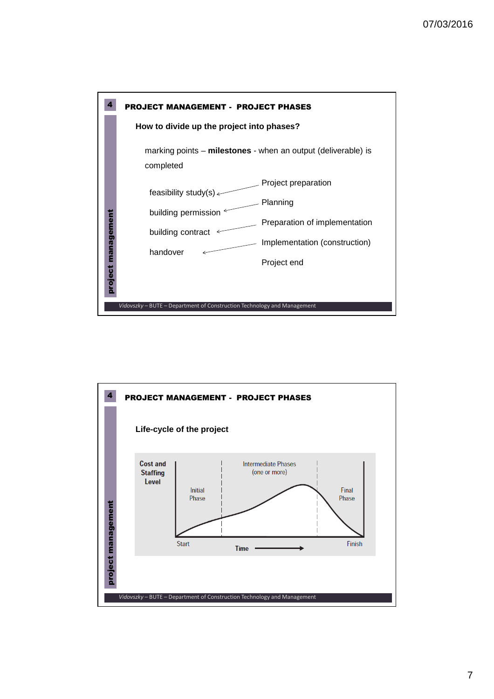

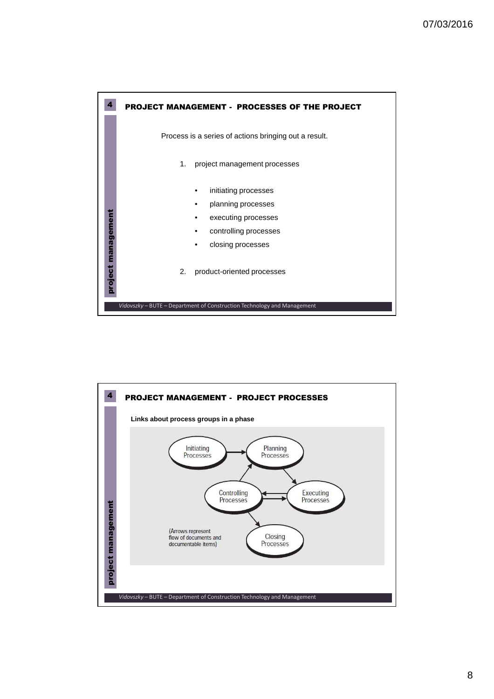

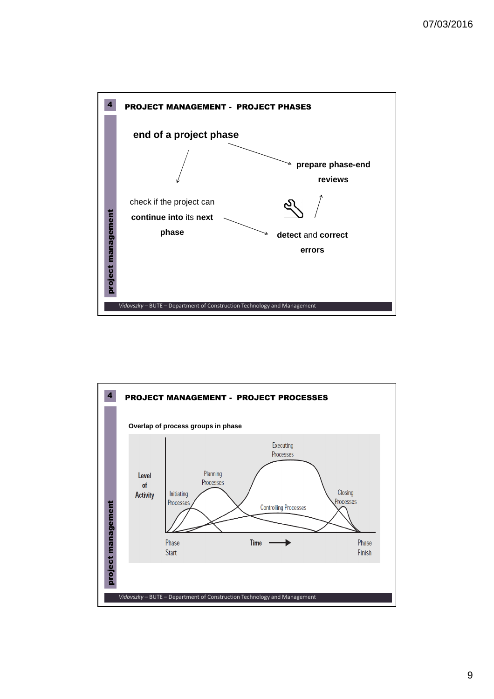

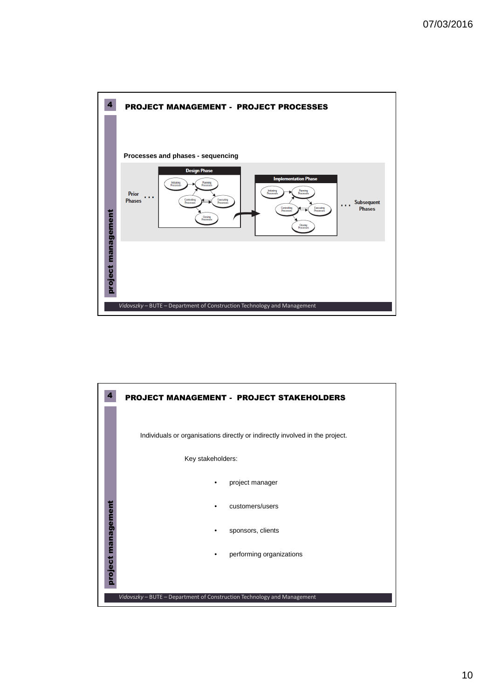

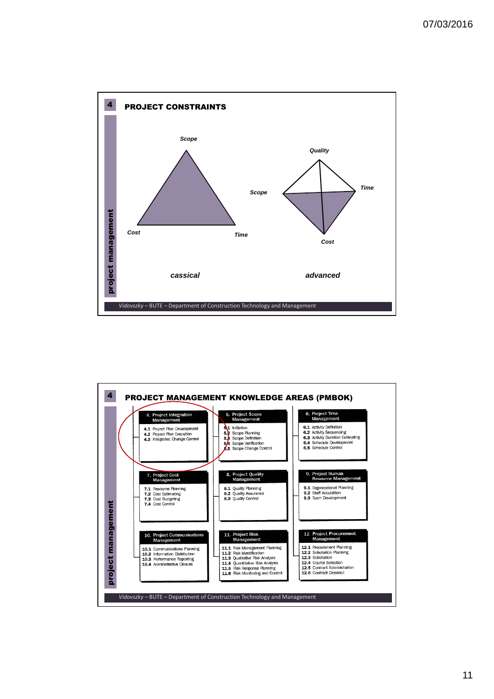

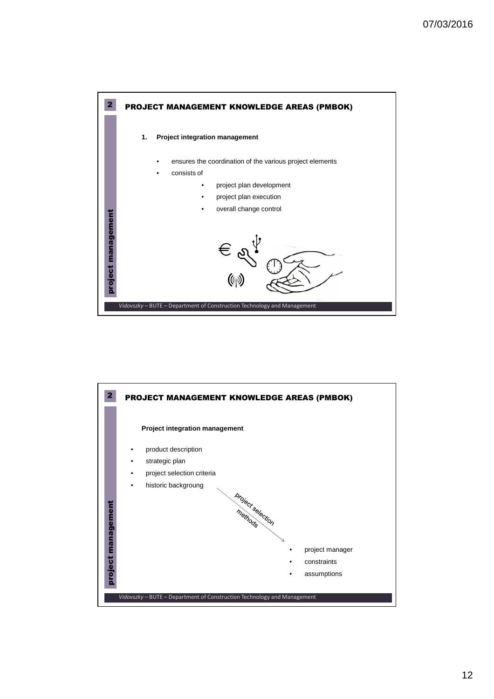

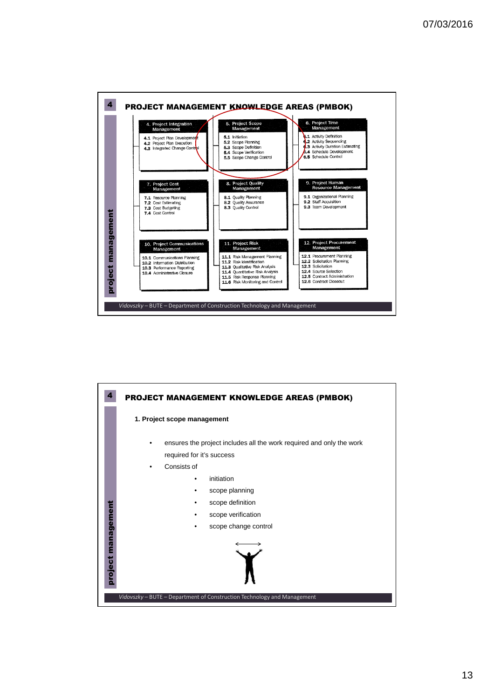

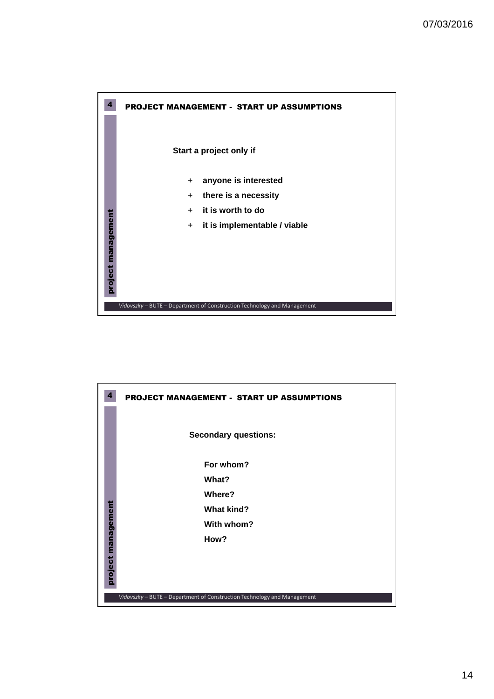

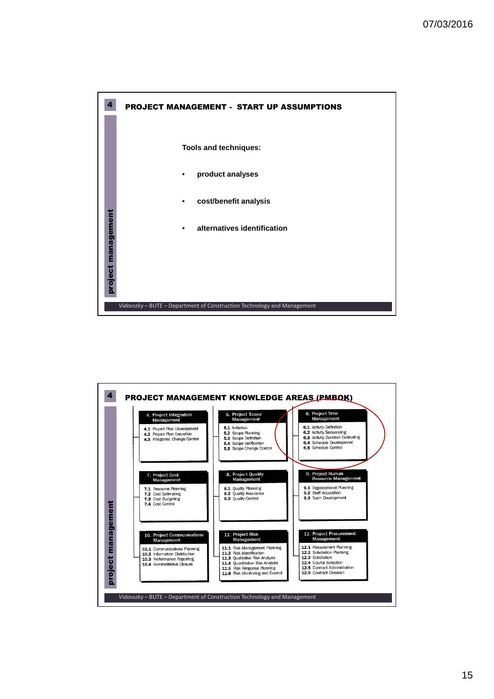

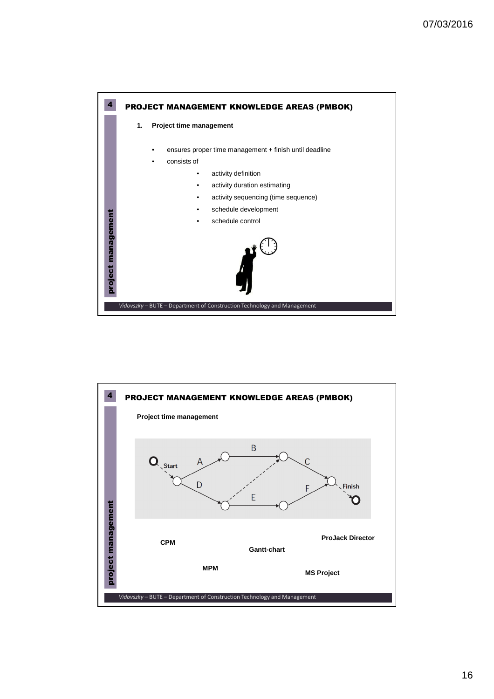

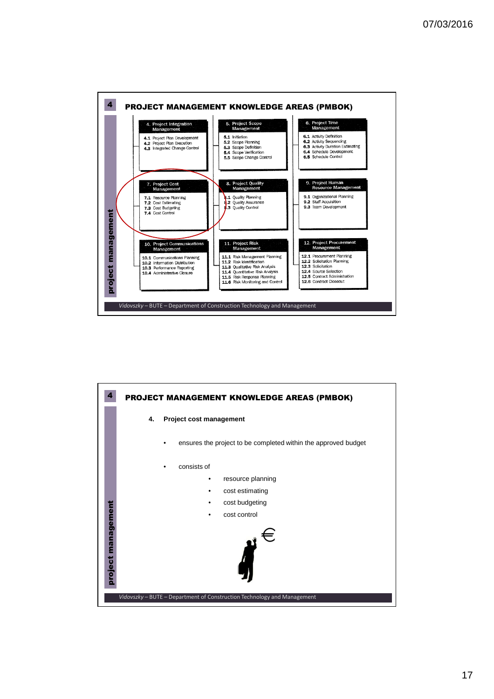

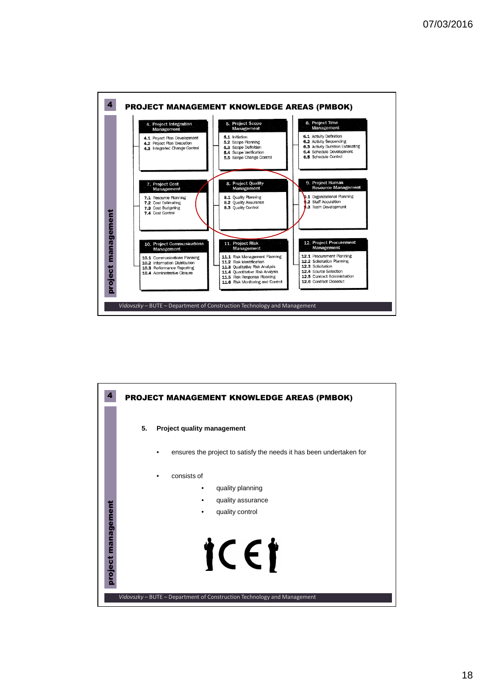

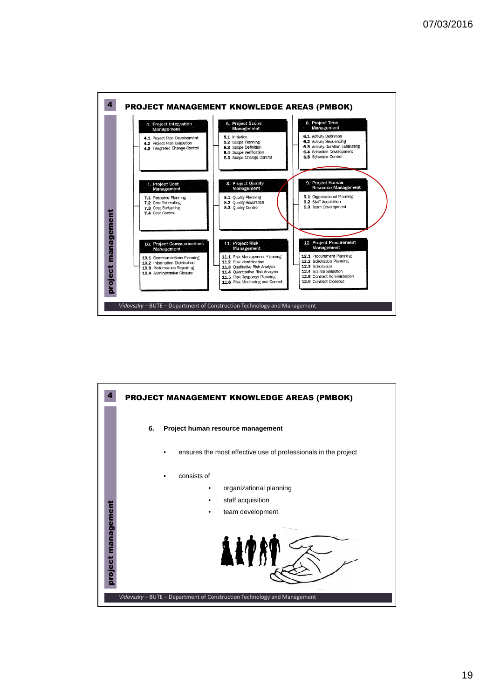

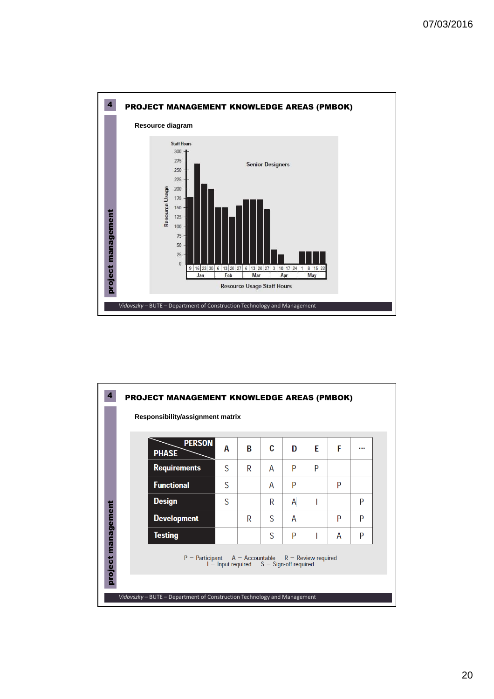

|            | Responsibility/assignment matrix<br><b>PERSON</b><br><b>PHASE</b> | A                                            | R | C | D | F | F |   |
|------------|-------------------------------------------------------------------|----------------------------------------------|---|---|---|---|---|---|
|            | <b>Requirements</b>                                               | S                                            | R | A | P | P |   |   |
|            | <b>Functional</b>                                                 | S                                            |   | A | P |   | P |   |
|            | <b>Design</b>                                                     | S                                            |   | R | A |   |   | P |
| management | <b>Development</b>                                                |                                              | R | S | А |   | P | P |
|            | Testing                                                           |                                              |   | S | P |   | А | P |
| project    | $P =$ Participant $A =$ Accountable $R =$ Review required         | $I =$ Input required $S =$ Sign-off required |   |   |   |   |   |   |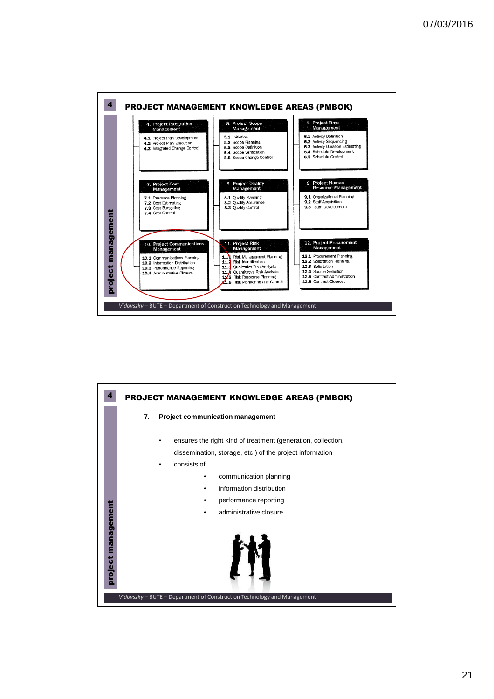

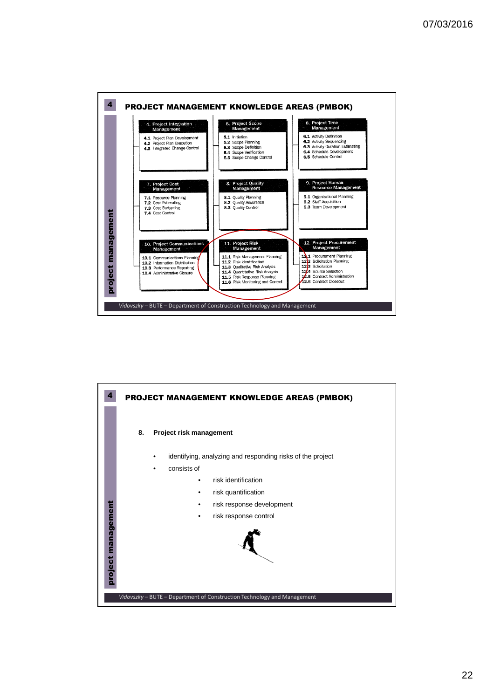

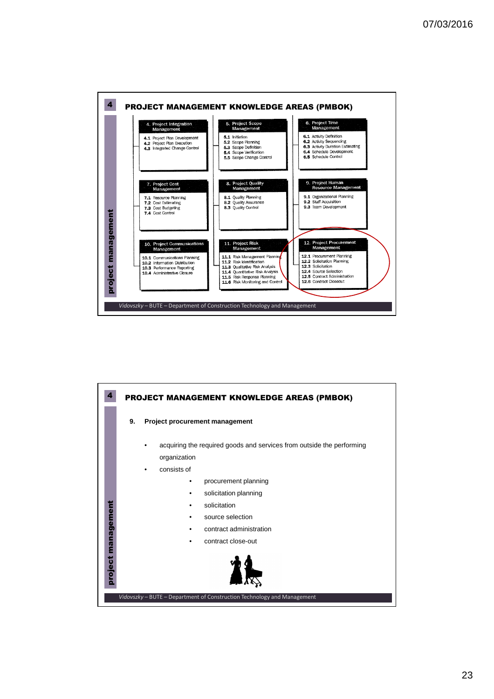



23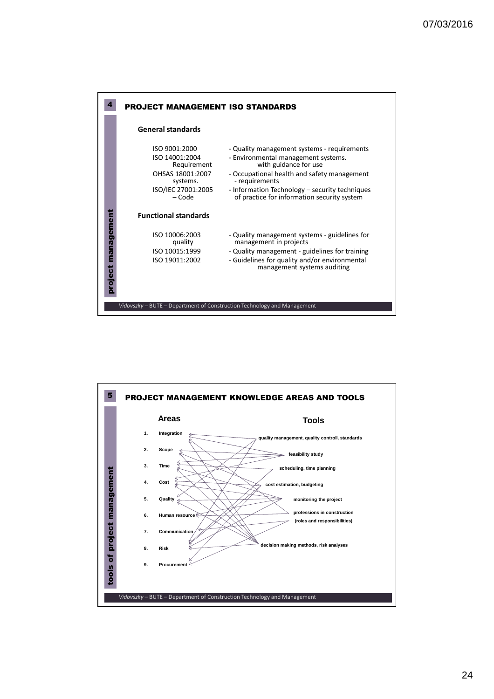